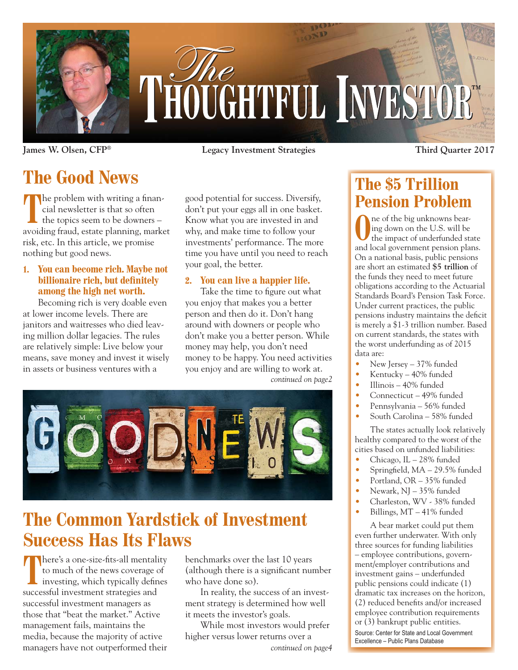

**James W. Olsen, CFP® Legacy Investment Strategies Third Quarter 2017**

# **The Good News**

**T** the problem with writing a financial newsletter is that so often the topics seem to be downers – avoiding fraud, estate planning, market risk, etc. In this article, we promise nothing but good news.

#### **1. You can become rich. Maybe not billionaire rich, but definitely among the high net worth.**

Becoming rich is very doable even at lower income levels. There are janitors and waitresses who died leaving million dollar legacies. The rules are relatively simple: Live below your means, save money and invest it wisely in assets or business ventures with a

good potential for success. Diversify, don't put your eggs all in one basket. Know what you are invested in and why, and make time to follow your investments' performance. The more time you have until you need to reach your goal, the better.

#### **2. You can live a happier life.**

Take the time to figure out what you enjoy that makes you a better person and then do it. Don't hang around with downers or people who don't make you a better person. While money may help, you don't need money to be happy. You need activities you enjoy and are willing to work at. *continued on page2*



## **The Common Yardstick of Investment Success Has Its Flaws**

There's a one-size-fits-all mentality<br>to much of the news coverage of<br>investing, which typically defines to much of the news coverage of successful investment strategies and successful investment managers as those that "beat the market." Active management fails, maintains the media, because the majority of active managers have not outperformed their

benchmarks over the last 10 years (although there is a significant number who have done so).

In reality, the success of an investment strategy is determined how well it meets the investor's goals.

While most investors would prefer higher versus lower returns over a *continued on page4*

### **The \$5 Trillion Pension Problem**

**O**ne of the big unknowns bear-<br>ing down on the U.S. will be<br>the impact of underfunded st: ing down on the U.S. will be the impact of underfunded state and local government pension plans. On a national basis, public pensions are short an estimated **\$5 trillion** of the funds they need to meet future obligations according to the Actuarial Standards Board's Pension Task Force. Under current practices, the public pensions industry maintains the deficit is merely a \$1-3 trillion number. Based on current standards, the states with the worst underfunding as of 2015 data are:

- New Jersey 37% funded
- Kentucky 40% funded
- Illinois 40% funded
- Connecticut 49% funded
- Pennsylvania 56% funded
- South Carolina 58% funded

The states actually look relatively healthy compared to the worst of the cities based on unfunded liabilities:

- Chicago, IL 28% funded
- Springfield, MA 29.5% funded
- Portland, OR 35% funded
- Newark, NJ 35% funded
- Charleston, WV 38% funded
- Billings, MT 41% funded

A bear market could put them even further underwater. With only three sources for funding liabilities – employee contributions, government/employer contributions and investment gains – underfunded public pensions could indicate (1) dramatic tax increases on the horizon, (2) reduced benefits and/or increased employee contribution requirements or (3) bankrupt public entities. Source: Center for State and Local Government Excellence - Public Plans Database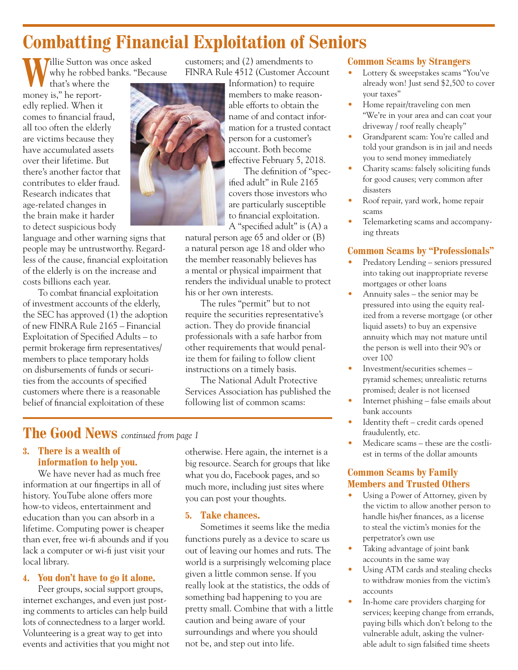# **Combatting Financial Exploitation of Seniors**

**Willie Sutton was once asked** why he robbed banks. "Because

that's where the money is," he reportedly replied. When it comes to financial fraud, all too often the elderly are victims because they have accumulated assets over their lifetime. But there's another factor that contributes to elder fraud. Research indicates that age-related changes in the brain make it harder to detect suspicious body

language and other warning signs that people may be untrustworthy. Regardless of the cause, financial exploitation of the elderly is on the increase and costs billions each year.

To combat financial exploitation of investment accounts of the elderly, the SEC has approved (1) the adoption of new FINRA Rule 2165 – Financial Exploitation of Specified Adults – to permit brokerage firm representatives/ members to place temporary holds on disbursements of funds or securities from the accounts of specified customers where there is a reasonable belief of financial exploitation of these

customers; and (2) amendments to FINRA Rule 4512 (Customer Account



Information) to require members to make reasonable efforts to obtain the name of and contact information for a trusted contact person for a customer's account. Both become effective February 5, 2018.

The definition of "specified adult" in Rule 2165 covers those investors who are particularly susceptible to financial exploitation.

A "specified adult" is (A) a natural person age 65 and older or (B) a natural person age 18 and older who the member reasonably believes has a mental or physical impairment that renders the individual unable to protect his or her own interests.

The rules "permit" but to not require the securities representative's action. They do provide financial professionals with a safe harbor from other requirements that would penalize them for failing to follow client instructions on a timely basis.

The National Adult Protective Services Association has published the following list of common scams:

### **The Good News** *continued from page 1*

#### **3. There is a wealth of information to help you.**

We have never had as much free information at our fingertips in all of history. YouTube alone offers more how-to videos, entertainment and education than you can absorb in a lifetime. Computing power is cheaper than ever, free wi-fi abounds and if you lack a computer or wi-fi just visit your local library.

#### **4. You don't have to go it alone.**

Peer groups, social support groups, internet exchanges, and even just posting comments to articles can help build lots of connectedness to a larger world. Volunteering is a great way to get into events and activities that you might not otherwise. Here again, the internet is a big resource. Search for groups that like what you do, Facebook pages, and so much more, including just sites where you can post your thoughts.

#### **5. Take chances.**

Sometimes it seems like the media functions purely as a device to scare us out of leaving our homes and ruts. The world is a surprisingly welcoming place given a little common sense. If you really look at the statistics, the odds of something bad happening to you are pretty small. Combine that with a little caution and being aware of your surroundings and where you should not be, and step out into life.

#### **Common Scams by Strangers**

- Lottery & sweepstakes scams "You've already won! Just send \$2,500 to cover your taxes"
- Home repair/traveling con men "We're in your area and can coat your driveway / roof really cheaply"
- Grandparent scam: You're called and told your grandson is in jail and needs you to send money immediately
- Charity scams: falsely soliciting funds for good causes; very common after disasters
- Roof repair, yard work, home repair scams
- Telemarketing scams and accompanying threats

#### **Common Scams by "Professionals"**

- Predatory Lending seniors pressured into taking out inappropriate reverse mortgages or other loans
- Annuity sales the senior may be pressured into using the equity realized from a reverse mortgage (or other liquid assets) to buy an expensive annuity which may not mature until the person is well into their 90's or over 100
- Investment/securities schemes pyramid schemes; unrealistic returns promised; dealer is not licensed
- Internet phishing false emails about bank accounts
- Identity theft credit cards opened fraudulently, etc.
- Medicare scams these are the costliest in terms of the dollar amounts

#### **Common Scams by Family Members and Trusted Others**

- Using a Power of Attorney, given by the victim to allow another person to handle his/her finances, as a license to steal the victim's monies for the perpetrator's own use
- Taking advantage of joint bank accounts in the same way
- Using ATM cards and stealing checks to withdraw monies from the victim's accounts
- In-home care providers charging for services; keeping change from errands, paying bills which don't belong to the vulnerable adult, asking the vulnerable adult to sign falsified time sheets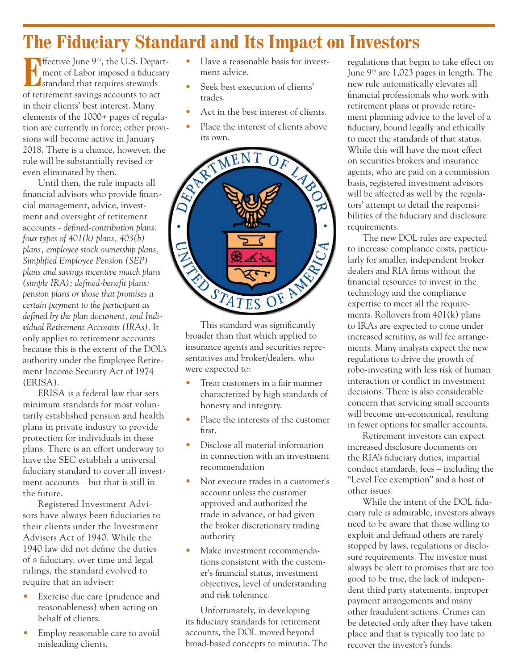# **The Fiduciary Standard and Its Impact on Investors**

**E**ffective June 9<sup>th</sup>, the U.S. Department of Labor imposed a fiduciary standard that requires stewards of retirement savings accounts to act in their clients' best interest. Many elements of the 1000+ pages of regulation are currently in force; other provisions will become active in January 2018. There is a chance, however, the rule will be substantially revised or even eliminated by then.

Until then, the rule impacts all financial advisors who provide financial management, advice, investment and oversight of retirement accounts *- defined-contribution plans: four types of 401(k) plans, 403(b) plans, employee stock ownership plans, Simplified Employee Pension (SEP) plans and savings incentive match plans (simple IRA); defined-benefit plans: pension plans or those that promises a certain payment to the participant as defined by the plan document, and Individual Retirement Accounts (IRAs)*. It only applies to retirement accounts because this is the extent of the DOL's authority under the Employee Retirement Income Security Act of 1974 (ERISA).

ERISA is a federal law that sets minimum standards for most voluntarily established pension and health plans in private industry to provide protection for individuals in these plans. There is an effort underway to have the SEC establish a universal fiduciary standard to cover all investment accounts – but that is still in the future.

Registered Investment Advisors have always been fiduciaries to their clients under the Investment Advisers Act of 1940. While the 1940 law did not define the duties of a fiduciary, over time and legal rulings, the standard evolved to require that an adviser:

- Exercise due care (prudence and reasonableness) when acting on behalf of clients.
- Employ reasonable care to avoid misleading clients.
- Have a reasonable basis for investment advice.
- Seek best execution of clients' trades.
- Act in the best interest of clients.
- Place the interest of clients above



broader than that which applied to insurance agents and securities representatives and broker/dealers, who were expected to:

- Treat customers in a fair manner characterized by high standards of honesty and integrity.
- Place the interests of the customer first.
- Disclose all material information in connection with an investment recommendation
- Not execute trades in a customer's account unless the customer approved and authorized the trade in advance, or had given the broker discretionary trading authority
- Make investment recommendations consistent with the customer's financial status, investment objectives, level of understanding and risk tolerance.

Unfortunately, in developing its fiduciary standards for retirement accounts, the DOL moved beyond broad-based concepts to minutia. The regulations that begin to take effect on June  $9<sup>th</sup>$  are 1,023 pages in length. The new rule automatically elevates all financial professionals who work with retirement plans or provide retirement planning advice to the level of a fiduciary, bound legally and ethically to meet the standards of that status. While this will have the most effect on securities brokers and insurance agents, who are paid on a commission basis, registered investment advisors will be affected as well by the regulators' attempt to detail the responsibilities of the fiduciary and disclosure requirements.

The new DOL rules are expected to increase compliance costs, particularly for smaller, independent broker dealers and RIA firms without the financial resources to invest in the technology and the compliance expertise to meet all the requirements. Rollovers from 401(k) plans to IRAs are expected to come under increased scrutiny, as will fee arrangements. Many analysts expect the new regulations to drive the growth of robo-investing with less risk of human interaction or conflict in investment decisions. There is also considerable concern that servicing small accounts will become un-economical, resulting in fewer options for smaller accounts.

Retirement investors can expect increased disclosure documents on the RIA's fiduciary duties, impartial conduct standards, fees – including the "Level Fee exemption" and a host of other issues.

While the intent of the DOL fiduciary rule is admirable, investors always need to be aware that those willing to exploit and defraud others are rarely stopped by laws, regulations or disclosure requirements. The investor must always be alert to promises that are too good to be true, the lack of independent third party statements, improper payment arrangements and many other fraudulent actions. Crimes can be detected only after they have taken place and that is typically too late to recover the investor's funds.